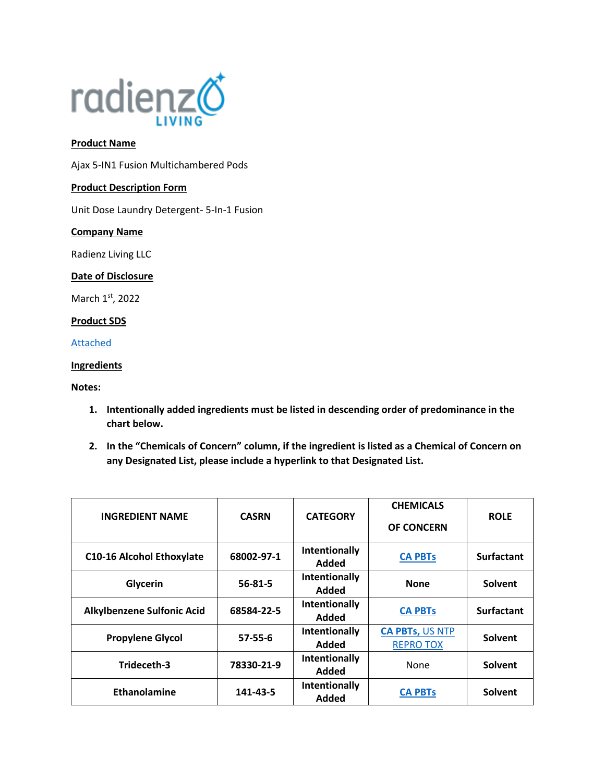

# **Product Name**

Ajax 5-IN1 Fusion Multichambered Pods

### **Product Description Form**

Unit Dose Laundry Detergent- 5-In-1 Fusion

### **Company Name**

Radienz Living LLC

### **Date of Disclosure**

March 1st, 2022

# **Product SDS**

[Attached](file://///srvfs02/home/mloesch/Files/Home%20Care/AJAX-2020/rebrand/Regulatory/pods/SDS%20Customers/5IN1%20Multichamber%20Pod%20-440.pdf)

### **Ingredients**

## **Notes:**

- **1. Intentionally added ingredients must be listed in descending order of predominance in the chart below.**
- **2. In the "Chemicals of Concern" column, if the ingredient is listed as a Chemical of Concern on any Designated List, please include a hyperlink to that Designated List.**

| <b>INGREDIENT NAME</b>            | <b>CASRN</b>  | <b>CATEGORY</b>               | <b>CHEMICALS</b><br><b>OF CONCERN</b>      | <b>ROLE</b>       |
|-----------------------------------|---------------|-------------------------------|--------------------------------------------|-------------------|
| <b>C10-16 Alcohol Ethoxylate</b>  | 68002-97-1    | Intentionally<br>Added        | <b>CA PBTs</b>                             | <b>Surfactant</b> |
| Glycerin                          | $56 - 81 - 5$ | Intentionally<br><b>Added</b> | <b>None</b>                                | Solvent           |
| <b>Alkylbenzene Sulfonic Acid</b> | 68584-22-5    | Intentionally<br>Added        | <b>CA PBTs</b>                             | <b>Surfactant</b> |
| <b>Propylene Glycol</b>           | $57 - 55 - 6$ | Intentionally<br>Added        | <b>CA PBTs, US NTP</b><br><b>REPRO TOX</b> | Solvent           |
| Trideceth-3                       | 78330-21-9    | Intentionally<br>Added        | None                                       | Solvent           |
| Ethanolamine                      | 141-43-5      | Intentionally<br>Added        | <b>CA PBTs</b>                             | <b>Solvent</b>    |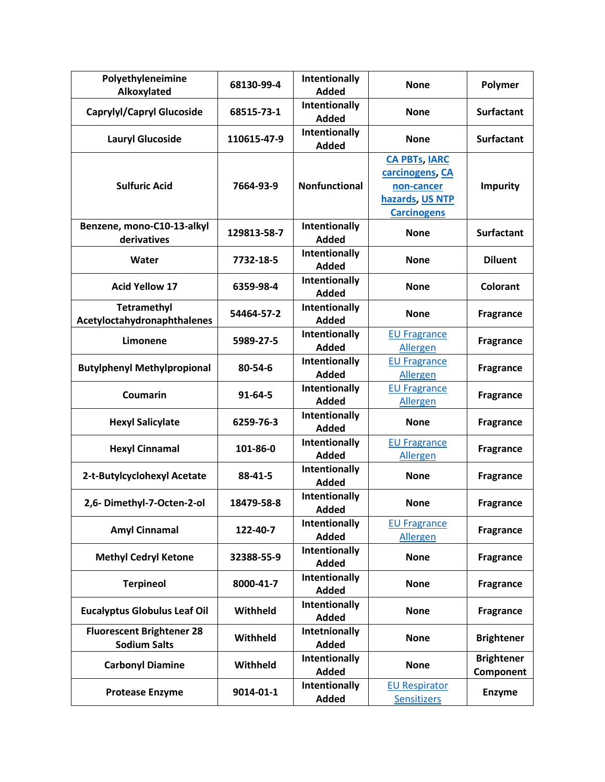| Polyethyleneimine<br>Alkoxylated                        | 68130-99-4    | Intentionally<br><b>Added</b> | <b>None</b>                                                                                    | Polymer                        |
|---------------------------------------------------------|---------------|-------------------------------|------------------------------------------------------------------------------------------------|--------------------------------|
| <b>Caprylyl/Capryl Glucoside</b>                        | 68515-73-1    | Intentionally<br><b>Added</b> | <b>None</b>                                                                                    | <b>Surfactant</b>              |
| <b>Lauryl Glucoside</b>                                 | 110615-47-9   | Intentionally<br><b>Added</b> | <b>None</b>                                                                                    | <b>Surfactant</b>              |
| <b>Sulfuric Acid</b>                                    | 7664-93-9     | <b>Nonfunctional</b>          | <b>CA PBTs, IARC</b><br>carcinogens, CA<br>non-cancer<br>hazards, US NTP<br><b>Carcinogens</b> | <b>Impurity</b>                |
| Benzene, mono-C10-13-alkyl<br>derivatives               | 129813-58-7   | Intentionally<br><b>Added</b> | <b>None</b>                                                                                    | <b>Surfactant</b>              |
| Water                                                   | 7732-18-5     | Intentionally<br><b>Added</b> | <b>None</b>                                                                                    | <b>Diluent</b>                 |
| <b>Acid Yellow 17</b>                                   | 6359-98-4     | Intentionally<br><b>Added</b> | <b>None</b>                                                                                    | Colorant                       |
| <b>Tetramethyl</b><br>Acetyloctahydronaphthalenes       | 54464-57-2    | Intentionally<br><b>Added</b> | <b>None</b>                                                                                    | <b>Fragrance</b>               |
| Limonene                                                | 5989-27-5     | Intentionally<br><b>Added</b> | <b>EU Fragrance</b><br><b>Allergen</b>                                                         | <b>Fragrance</b>               |
| <b>Butylphenyl Methylpropional</b>                      | 80-54-6       | Intentionally<br><b>Added</b> | <b>EU Fragrance</b><br><b>Allergen</b>                                                         | <b>Fragrance</b>               |
| Coumarin                                                | $91 - 64 - 5$ | Intentionally<br><b>Added</b> | <b>EU Fragrance</b><br><b>Allergen</b>                                                         | <b>Fragrance</b>               |
| <b>Hexyl Salicylate</b>                                 | 6259-76-3     | Intentionally<br><b>Added</b> | <b>None</b>                                                                                    | <b>Fragrance</b>               |
| <b>Hexyl Cinnamal</b>                                   | 101-86-0      | Intentionally<br><b>Added</b> | <b>EU Fragrance</b><br><b>Allergen</b>                                                         | <b>Fragrance</b>               |
| 2-t-Butylcyclohexyl Acetate                             | 88-41-5       | Intentionally<br><b>Added</b> | <b>None</b>                                                                                    | <b>Fragrance</b>               |
| 2,6- Dimethyl-7-Octen-2-ol                              | 18479-58-8    | Intentionally<br><b>Added</b> | <b>None</b>                                                                                    | <b>Fragrance</b>               |
| <b>Amyl Cinnamal</b>                                    | 122-40-7      | Intentionally<br><b>Added</b> | <b>EU Fragrance</b><br><b>Allergen</b>                                                         | <b>Fragrance</b>               |
| <b>Methyl Cedryl Ketone</b>                             | 32388-55-9    | Intentionally<br><b>Added</b> | <b>None</b>                                                                                    | <b>Fragrance</b>               |
| <b>Terpineol</b>                                        | 8000-41-7     | Intentionally<br><b>Added</b> | <b>None</b>                                                                                    | <b>Fragrance</b>               |
| <b>Eucalyptus Globulus Leaf Oil</b>                     | Withheld      | Intentionally<br><b>Added</b> | <b>None</b>                                                                                    | <b>Fragrance</b>               |
| <b>Fluorescent Brightener 28</b><br><b>Sodium Salts</b> | Withheld      | Intetnionally<br><b>Added</b> | <b>None</b>                                                                                    | <b>Brightener</b>              |
| <b>Carbonyl Diamine</b>                                 | Withheld      | Intentionally<br><b>Added</b> | <b>None</b>                                                                                    | <b>Brightener</b><br>Component |
| <b>Protease Enzyme</b>                                  | 9014-01-1     | Intentionally<br><b>Added</b> | <b>EU Respirator</b><br><b>Sensitizers</b>                                                     | <b>Enzyme</b>                  |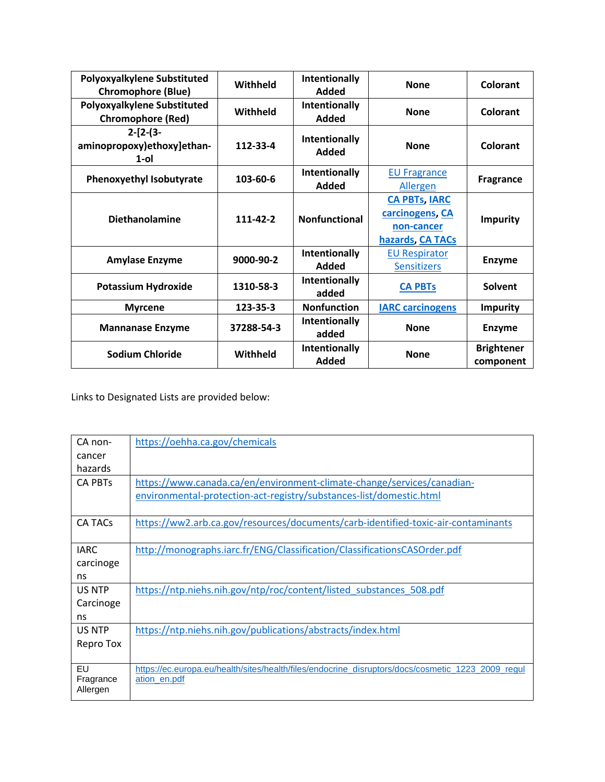| Polyoxyalkylene Substituted<br><b>Chromophore (Blue)</b> | Withheld   | Intentionally<br>Added               | <b>None</b>                                                               | Colorant                       |
|----------------------------------------------------------|------------|--------------------------------------|---------------------------------------------------------------------------|--------------------------------|
| Polyoxyalkylene Substituted<br><b>Chromophore (Red)</b>  | Withheld   | Intentionally<br><b>Added</b>        | <b>None</b>                                                               | Colorant                       |
| $2-[2-(3-$<br>aminopropoxy)ethoxy]ethan-<br>$1$ -ol      | 112-33-4   | Intentionally<br>Added               | <b>None</b>                                                               | Colorant                       |
| <b>Phenoxyethyl Isobutyrate</b>                          | 103-60-6   | <b>Intentionally</b><br><b>Added</b> | <b>EU Fragrance</b><br><b>Allergen</b>                                    | <b>Fragrance</b>               |
| <b>Diethanolamine</b>                                    | 111-42-2   | <b>Nonfunctional</b>                 | <b>CA PBTs, IARC</b><br>carcinogens, CA<br>non-cancer<br>hazards, CA TACs | <b>Impurity</b>                |
| <b>Amylase Enzyme</b>                                    | 9000-90-2  | Intentionally<br><b>Added</b>        | <b>EU Respirator</b><br><b>Sensitizers</b>                                | <b>Enzyme</b>                  |
| <b>Potassium Hydroxide</b>                               | 1310-58-3  | Intentionally<br>added               | <b>CA PBTs</b>                                                            | Solvent                        |
| <b>Myrcene</b>                                           | 123-35-3   | <b>Nonfunction</b>                   | <b>IARC carcinogens</b>                                                   | <b>Impurity</b>                |
| <b>Mannanase Enzyme</b>                                  | 37288-54-3 | <b>Intentionally</b><br>added        | <b>None</b>                                                               | <b>Enzyme</b>                  |
| <b>Sodium Chloride</b>                                   | Withheld   | Intentionally<br>Added               | <b>None</b>                                                               | <b>Brightener</b><br>component |

Links to Designated Lists are provided below:

| CA non-               | https://oehha.ca.gov/chemicals                                                                    |
|-----------------------|---------------------------------------------------------------------------------------------------|
| cancer                |                                                                                                   |
| hazards               |                                                                                                   |
| <b>CA PBTs</b>        | https://www.canada.ca/en/environment-climate-change/services/canadian-                            |
|                       | environmental-protection-act-registry/substances-list/domestic.html                               |
| CA TACs               | https://ww2.arb.ca.gov/resources/documents/carb-identified-toxic-air-contaminants                 |
| <b>IARC</b>           | http://monographs.iarc.fr/ENG/Classification/ClassificationsCASOrder.pdf                          |
| carcinoge             |                                                                                                   |
| ns                    |                                                                                                   |
| US NTP                | https://ntp.niehs.nih.gov/ntp/roc/content/listed substances 508.pdf                               |
| Carcinoge             |                                                                                                   |
| ns                    |                                                                                                   |
| US NTP                | https://ntp.niehs.nih.gov/publications/abstracts/index.html                                       |
| Repro Tox             |                                                                                                   |
|                       |                                                                                                   |
| EU                    | https://ec.europa.eu/health/sites/health/files/endocrine_disruptors/docs/cosmetic_1223_2009_regul |
| Fragrance<br>Allergen | ation en.pdf                                                                                      |